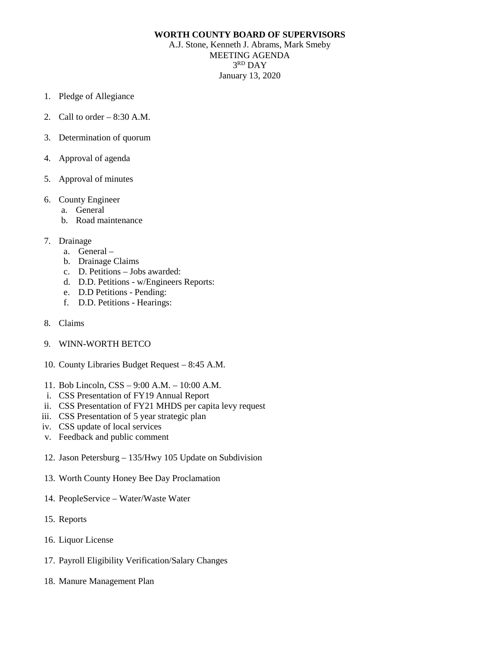## **WORTH COUNTY BOARD OF SUPERVISORS**

A.J. Stone, Kenneth J. Abrams, Mark Smeby MEETING AGENDA 3RD DAY January 13, 2020

- 1. Pledge of Allegiance
- 2. Call to order 8:30 A.M.
- 3. Determination of quorum
- 4. Approval of agenda
- 5. Approval of minutes
- 6. County Engineer
	- a. General
	- b. Road maintenance
- 7. Drainage
	- a. General –
	- b. Drainage Claims
	- c. D. Petitions Jobs awarded:
	- d. D.D. Petitions w/Engineers Reports:
	- e. D.D Petitions Pending:
	- f. D.D. Petitions Hearings:
- 8. Claims
- 9. WINN-WORTH BETCO
- 10. County Libraries Budget Request 8:45 A.M.
- 11. Bob Lincoln, CSS 9:00 A.M. 10:00 A.M.
- i. CSS Presentation of FY19 Annual Report
- ii. CSS Presentation of FY21 MHDS per capita levy request
- iii. CSS Presentation of 5 year strategic plan
- iv. CSS update of local services
- v. Feedback and public comment
- 12. Jason Petersburg 135/Hwy 105 Update on Subdivision
- 13. Worth County Honey Bee Day Proclamation
- 14. PeopleService Water/Waste Water
- 15. Reports
- 16. Liquor License
- 17. Payroll Eligibility Verification/Salary Changes
- 18. Manure Management Plan